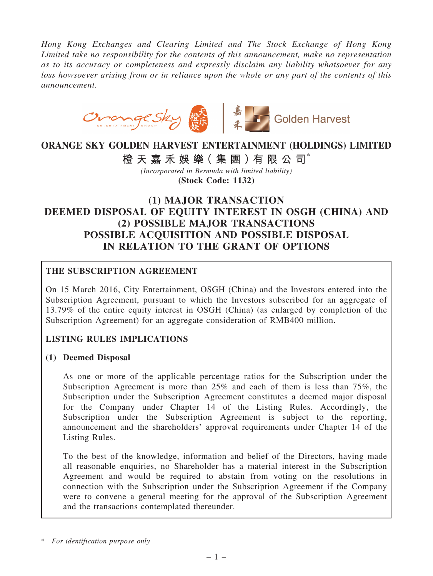*Hong Kong Exchanges and Clearing Limited and The Stock Exchange of Hong Kong Limited take no responsibility for the contents of this announcement, make no representation as to its accuracy or completeness and expressly disclaim any liability whatsoever for any loss howsoever arising from or in reliance upon the whole or any part of the contents of this announcement.*



# ORANGE SKY GOLDEN HARVEST ENTERTAINMENT (HOLDINGS) LIMITED

橙 天 嘉 禾 娛 樂 (集 團 ) 有 限 公 司 $^*$ 

*(Incorporated in Bermuda with limited liability)* (Stock Code: 1132)

# (1) MAJOR TRANSACTION DEEMED DISPOSAL OF EQUITY INTEREST IN OSGH (CHINA) AND (2) POSSIBLE MAJOR TRANSACTIONS POSSIBLE ACQUISITION AND POSSIBLE DISPOSAL IN RELATION TO THE GRANT OF OPTIONS

## THE SUBSCRIPTION AGREEMENT

On 15 March 2016, City Entertainment, OSGH (China) and the Investors entered into the Subscription Agreement, pursuant to which the Investors subscribed for an aggregate of 13.79% of the entire equity interest in OSGH (China) (as enlarged by completion of the Subscription Agreement) for an aggregate consideration of RMB400 million.

## LISTING RULES IMPLICATIONS

## (1) Deemed Disposal

As one or more of the applicable percentage ratios for the Subscription under the Subscription Agreement is more than 25% and each of them is less than 75%, the Subscription under the Subscription Agreement constitutes a deemed major disposal for the Company under Chapter 14 of the Listing Rules. Accordingly, the Subscription under the Subscription Agreement is subject to the reporting, announcement and the shareholders' approval requirements under Chapter 14 of the Listing Rules.

To the best of the knowledge, information and belief of the Directors, having made all reasonable enquiries, no Shareholder has a material interest in the Subscription Agreement and would be required to abstain from voting on the resolutions in connection with the Subscription under the Subscription Agreement if the Company were to convene a general meeting for the approval of the Subscription Agreement and the transactions contemplated thereunder.

<sup>\*</sup> *For identification purpose only*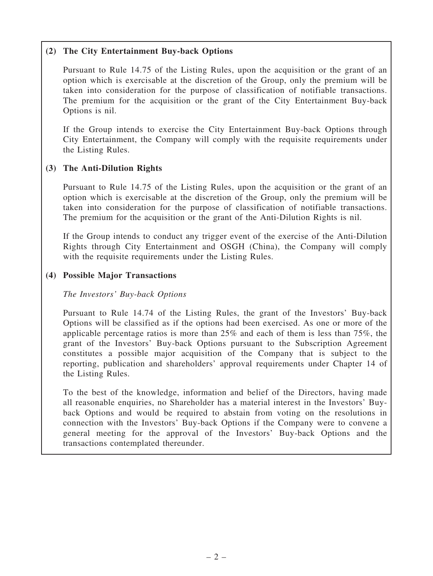## (2) The City Entertainment Buy-back Options

Pursuant to Rule 14.75 of the Listing Rules, upon the acquisition or the grant of an option which is exercisable at the discretion of the Group, only the premium will be taken into consideration for the purpose of classification of notifiable transactions. The premium for the acquisition or the grant of the City Entertainment Buy-back Options is nil.

If the Group intends to exercise the City Entertainment Buy-back Options through City Entertainment, the Company will comply with the requisite requirements under the Listing Rules.

## (3) The Anti-Dilution Rights

Pursuant to Rule 14.75 of the Listing Rules, upon the acquisition or the grant of an option which is exercisable at the discretion of the Group, only the premium will be taken into consideration for the purpose of classification of notifiable transactions. The premium for the acquisition or the grant of the Anti-Dilution Rights is nil.

If the Group intends to conduct any trigger event of the exercise of the Anti-Dilution Rights through City Entertainment and OSGH (China), the Company will comply with the requisite requirements under the Listing Rules.

## (4) Possible Major Transactions

*The Investors*' *Buy-back Options*

Pursuant to Rule 14.74 of the Listing Rules, the grant of the Investors' Buy-back Options will be classified as if the options had been exercised. As one or more of the applicable percentage ratios is more than 25% and each of them is less than 75%, the grant of the Investors' Buy-back Options pursuant to the Subscription Agreement constitutes a possible major acquisition of the Company that is subject to the reporting, publication and shareholders' approval requirements under Chapter 14 of the Listing Rules.

To the best of the knowledge, information and belief of the Directors, having made all reasonable enquiries, no Shareholder has a material interest in the Investors' Buyback Options and would be required to abstain from voting on the resolutions in connection with the Investors' Buy-back Options if the Company were to convene a general meeting for the approval of the Investors' Buy-back Options and the transactions contemplated thereunder.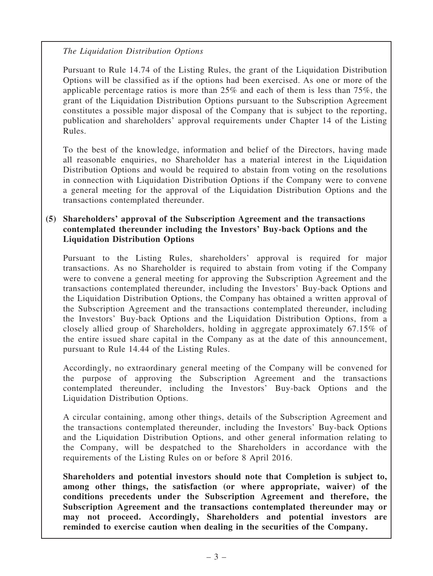## *The Liquidation Distribution Options*

Pursuant to Rule 14.74 of the Listing Rules, the grant of the Liquidation Distribution Options will be classified as if the options had been exercised. As one or more of the applicable percentage ratios is more than 25% and each of them is less than 75%, the grant of the Liquidation Distribution Options pursuant to the Subscription Agreement constitutes a possible major disposal of the Company that is subject to the reporting, publication and shareholders' approval requirements under Chapter 14 of the Listing Rules.

To the best of the knowledge, information and belief of the Directors, having made all reasonable enquiries, no Shareholder has a material interest in the Liquidation Distribution Options and would be required to abstain from voting on the resolutions in connection with Liquidation Distribution Options if the Company were to convene a general meeting for the approval of the Liquidation Distribution Options and the transactions contemplated thereunder.

## (5) Shareholders' approval of the Subscription Agreement and the transactions contemplated thereunder including the Investors' Buy-back Options and the Liquidation Distribution Options

Pursuant to the Listing Rules, shareholders' approval is required for major transactions. As no Shareholder is required to abstain from voting if the Company were to convene a general meeting for approving the Subscription Agreement and the transactions contemplated thereunder, including the Investors' Buy-back Options and the Liquidation Distribution Options, the Company has obtained a written approval of the Subscription Agreement and the transactions contemplated thereunder, including the Investors' Buy-back Options and the Liquidation Distribution Options, from a closely allied group of Shareholders, holding in aggregate approximately 67.15% of the entire issued share capital in the Company as at the date of this announcement, pursuant to Rule 14.44 of the Listing Rules.

Accordingly, no extraordinary general meeting of the Company will be convened for the purpose of approving the Subscription Agreement and the transactions contemplated thereunder, including the Investors' Buy-back Options and the Liquidation Distribution Options.

A circular containing, among other things, details of the Subscription Agreement and the transactions contemplated thereunder, including the Investors' Buy-back Options and the Liquidation Distribution Options, and other general information relating to the Company, will be despatched to the Shareholders in accordance with the requirements of the Listing Rules on or before 8 April 2016.

Shareholders and potential investors should note that Completion is subject to, among other things, the satisfaction (or where appropriate, waiver) of the conditions precedents under the Subscription Agreement and therefore, the Subscription Agreement and the transactions contemplated thereunder may or may not proceed. Accordingly, Shareholders and potential investors are reminded to exercise caution when dealing in the securities of the Company.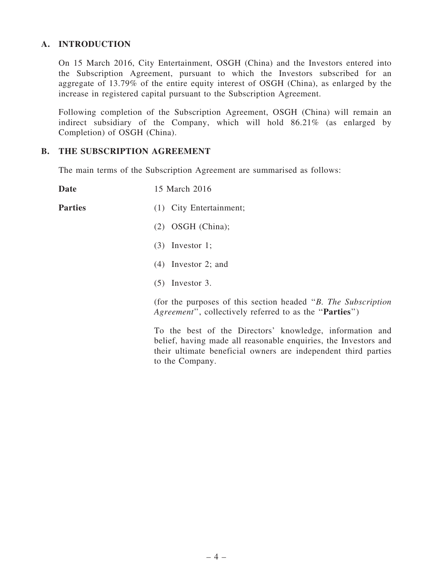## A. INTRODUCTION

On 15 March 2016, City Entertainment, OSGH (China) and the Investors entered into the Subscription Agreement, pursuant to which the Investors subscribed for an aggregate of 13.79% of the entire equity interest of OSGH (China), as enlarged by the increase in registered capital pursuant to the Subscription Agreement.

Following completion of the Subscription Agreement, OSGH (China) will remain an indirect subsidiary of the Company, which will hold 86.21% (as enlarged by Completion) of OSGH (China).

## B. THE SUBSCRIPTION AGREEMENT

The main terms of the Subscription Agreement are summarised as follows:

Date 15 March 2016 Parties (1) City Entertainment; (2) OSGH (China); (3) Investor 1; (4) Investor 2; and (5) Investor 3.

> (for the purposes of this section headed ''*B. The Subscription Agreement*'', collectively referred to as the ''Parties'')

> To the best of the Directors' knowledge, information and belief, having made all reasonable enquiries, the Investors and their ultimate beneficial owners are independent third parties to the Company.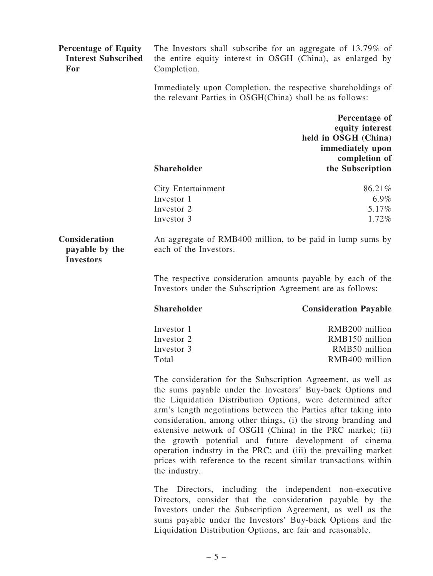| <b>Percentage of Equity</b> | The Investors shall subscribe for an aggregate of 13.79% of                                          |
|-----------------------------|------------------------------------------------------------------------------------------------------|
| For                         | <b>Interest Subscribed</b> the entire equity interest in OSGH (China), as enlarged by<br>Completion. |

Shareholder

Consideration payable by the

**Investors** 

Immediately upon Completion, the respective shareholdings of the relevant Parties in OSGH(China) shall be as follows:

|  | Percentage of        |
|--|----------------------|
|  | equity interest      |
|  | held in OSGH (China) |
|  | immediately upon     |
|  | completion of        |
|  | the Subscription     |

| City Entertainment | 86.21%   |
|--------------------|----------|
| Investor 1         | 6.9%     |
| Investor 2         | 5.17%    |
| Investor 3         | $1.72\%$ |

An aggregate of RMB400 million, to be paid in lump sums by each of the Investors.

The respective consideration amounts payable by each of the Investors under the Subscription Agreement are as follows:

| <b>Shareholder</b> | <b>Consideration Payable</b> |
|--------------------|------------------------------|
| Investor 1         | RMB <sub>200</sub> million   |
| Investor 2         | RMB150 million               |
| Investor 3         | RMB50 million                |
| Total              | RMB400 million               |

The consideration for the Subscription Agreement, as well as the sums payable under the Investors' Buy-back Options and the Liquidation Distribution Options, were determined after arm's length negotiations between the Parties after taking into consideration, among other things, (i) the strong branding and extensive network of OSGH (China) in the PRC market; (ii) the growth potential and future development of cinema operation industry in the PRC; and (iii) the prevailing market prices with reference to the recent similar transactions within the industry.

The Directors, including the independent non-executive Directors, consider that the consideration payable by the Investors under the Subscription Agreement, as well as the sums payable under the Investors' Buy-back Options and the Liquidation Distribution Options, are fair and reasonable.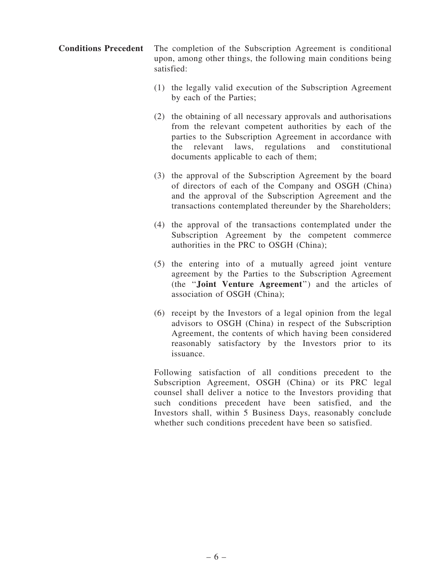- Conditions Precedent The completion of the Subscription Agreement is conditional upon, among other things, the following main conditions being satisfied:
	- (1) the legally valid execution of the Subscription Agreement by each of the Parties;
	- (2) the obtaining of all necessary approvals and authorisations from the relevant competent authorities by each of the parties to the Subscription Agreement in accordance with the relevant laws, regulations and constitutional documents applicable to each of them;
	- (3) the approval of the Subscription Agreement by the board of directors of each of the Company and OSGH (China) and the approval of the Subscription Agreement and the transactions contemplated thereunder by the Shareholders;
	- (4) the approval of the transactions contemplated under the Subscription Agreement by the competent commerce authorities in the PRC to OSGH (China);
	- (5) the entering into of a mutually agreed joint venture agreement by the Parties to the Subscription Agreement (the ''Joint Venture Agreement'') and the articles of association of OSGH (China);
	- (6) receipt by the Investors of a legal opinion from the legal advisors to OSGH (China) in respect of the Subscription Agreement, the contents of which having been considered reasonably satisfactory by the Investors prior to its issuance.

Following satisfaction of all conditions precedent to the Subscription Agreement, OSGH (China) or its PRC legal counsel shall deliver a notice to the Investors providing that such conditions precedent have been satisfied, and the Investors shall, within 5 Business Days, reasonably conclude whether such conditions precedent have been so satisfied.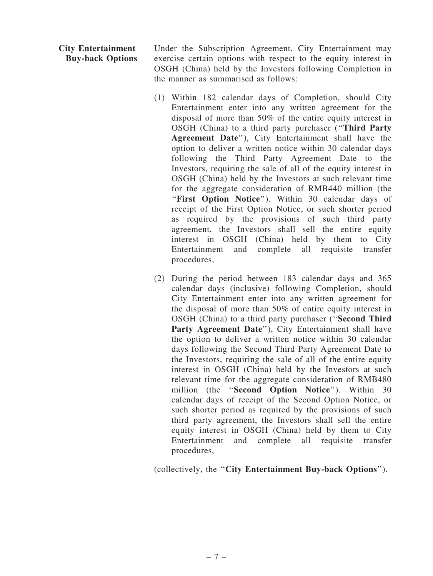City Entertainment Buy-back Options Under the Subscription Agreement, City Entertainment may exercise certain options with respect to the equity interest in OSGH (China) held by the Investors following Completion in the manner as summarised as follows:

- (1) Within 182 calendar days of Completion, should City Entertainment enter into any written agreement for the disposal of more than 50% of the entire equity interest in OSGH (China) to a third party purchaser (''Third Party Agreement Date''), City Entertainment shall have the option to deliver a written notice within 30 calendar days following the Third Party Agreement Date to the Investors, requiring the sale of all of the equity interest in OSGH (China) held by the Investors at such relevant time for the aggregate consideration of RMB440 million (the "First Option Notice"). Within 30 calendar days of receipt of the First Option Notice, or such shorter period as required by the provisions of such third party agreement, the Investors shall sell the entire equity interest in OSGH (China) held by them to City Entertainment and complete all requisite transfer procedures,
- (2) During the period between 183 calendar days and 365 calendar days (inclusive) following Completion, should City Entertainment enter into any written agreement for the disposal of more than 50% of entire equity interest in OSGH (China) to a third party purchaser ("Second Third Party Agreement Date"), City Entertainment shall have the option to deliver a written notice within 30 calendar days following the Second Third Party Agreement Date to the Investors, requiring the sale of all of the entire equity interest in OSGH (China) held by the Investors at such relevant time for the aggregate consideration of RMB480 million (the ''Second Option Notice''). Within 30 calendar days of receipt of the Second Option Notice, or such shorter period as required by the provisions of such third party agreement, the Investors shall sell the entire equity interest in OSGH (China) held by them to City Entertainment and complete all requisite transfer procedures,

(collectively, the ''City Entertainment Buy-back Options'').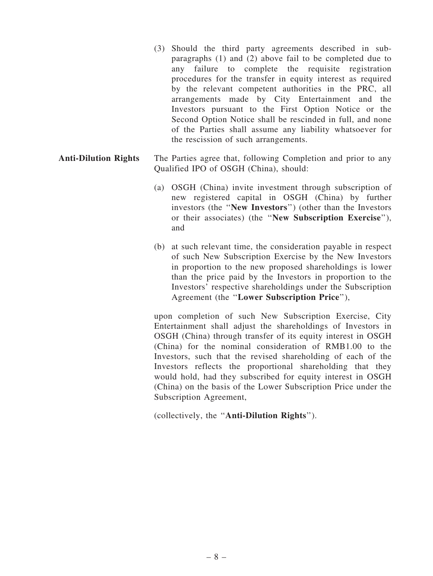- (3) Should the third party agreements described in subparagraphs (1) and (2) above fail to be completed due to any failure to complete the requisite registration procedures for the transfer in equity interest as required by the relevant competent authorities in the PRC, all arrangements made by City Entertainment and the Investors pursuant to the First Option Notice or the Second Option Notice shall be rescinded in full, and none of the Parties shall assume any liability whatsoever for the rescission of such arrangements.
- Anti-Dilution Rights The Parties agree that, following Completion and prior to any Qualified IPO of OSGH (China), should:
	- (a) OSGH (China) invite investment through subscription of new registered capital in OSGH (China) by further investors (the ''New Investors'') (other than the Investors or their associates) (the ''New Subscription Exercise''), and
	- (b) at such relevant time, the consideration payable in respect of such New Subscription Exercise by the New Investors in proportion to the new proposed shareholdings is lower than the price paid by the Investors in proportion to the Investors' respective shareholdings under the Subscription Agreement (the ''Lower Subscription Price''),

upon completion of such New Subscription Exercise, City Entertainment shall adjust the shareholdings of Investors in OSGH (China) through transfer of its equity interest in OSGH (China) for the nominal consideration of RMB1.00 to the Investors, such that the revised shareholding of each of the Investors reflects the proportional shareholding that they would hold, had they subscribed for equity interest in OSGH (China) on the basis of the Lower Subscription Price under the Subscription Agreement,

(collectively, the ''Anti-Dilution Rights'').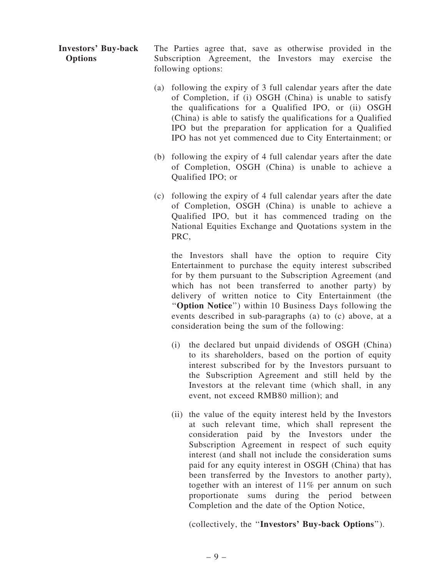| <b>Investors' Buy-back</b> | The Parties agree that, save as otherwise provided in the |  |  |  |  |  |
|----------------------------|-----------------------------------------------------------|--|--|--|--|--|
| <b>Options</b>             | Subscription Agreement, the Investors may exercise the    |  |  |  |  |  |
|                            | following options:                                        |  |  |  |  |  |

- (a) following the expiry of 3 full calendar years after the date of Completion, if (i) OSGH (China) is unable to satisfy the qualifications for a Qualified IPO, or (ii) OSGH (China) is able to satisfy the qualifications for a Qualified IPO but the preparation for application for a Qualified IPO has not yet commenced due to City Entertainment; or
- (b) following the expiry of 4 full calendar years after the date of Completion, OSGH (China) is unable to achieve a Qualified IPO; or
- (c) following the expiry of 4 full calendar years after the date of Completion, OSGH (China) is unable to achieve a Qualified IPO, but it has commenced trading on the National Equities Exchange and Quotations system in the PRC,

the Investors shall have the option to require City Entertainment to purchase the equity interest subscribed for by them pursuant to the Subscription Agreement (and which has not been transferred to another party) by delivery of written notice to City Entertainment (the "Option Notice") within 10 Business Days following the events described in sub-paragraphs (a) to (c) above, at a consideration being the sum of the following:

- (i) the declared but unpaid dividends of OSGH (China) to its shareholders, based on the portion of equity interest subscribed for by the Investors pursuant to the Subscription Agreement and still held by the Investors at the relevant time (which shall, in any event, not exceed RMB80 million); and
- (ii) the value of the equity interest held by the Investors at such relevant time, which shall represent the consideration paid by the Investors under the Subscription Agreement in respect of such equity interest (and shall not include the consideration sums paid for any equity interest in OSGH (China) that has been transferred by the Investors to another party), together with an interest of 11% per annum on such proportionate sums during the period between Completion and the date of the Option Notice,

(collectively, the ''Investors' Buy-back Options'').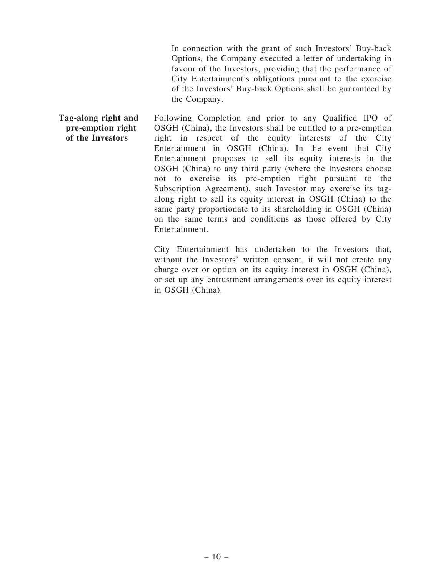In connection with the grant of such Investors' Buy-back Options, the Company executed a letter of undertaking in favour of the Investors, providing that the performance of City Entertainment's obligations pursuant to the exercise of the Investors' Buy-back Options shall be guaranteed by the Company.

Tag-along right and pre-emption right of the Investors Following Completion and prior to any Qualified IPO of OSGH (China), the Investors shall be entitled to a pre-emption right in respect of the equity interests of the City Entertainment in OSGH (China). In the event that City Entertainment proposes to sell its equity interests in the OSGH (China) to any third party (where the Investors choose not to exercise its pre-emption right pursuant to the Subscription Agreement), such Investor may exercise its tagalong right to sell its equity interest in OSGH (China) to the same party proportionate to its shareholding in OSGH (China) on the same terms and conditions as those offered by City Entertainment.

> City Entertainment has undertaken to the Investors that, without the Investors' written consent, it will not create any charge over or option on its equity interest in OSGH (China), or set up any entrustment arrangements over its equity interest in OSGH (China).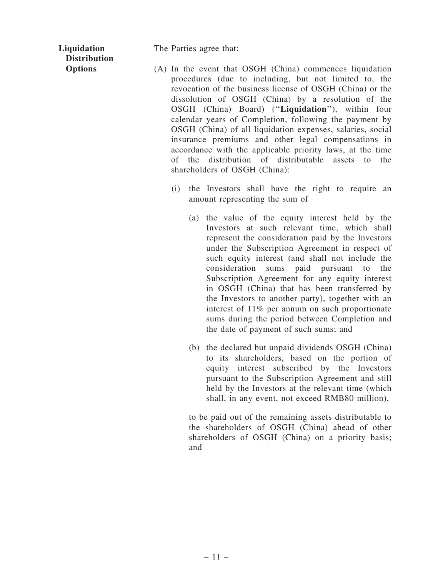Liquidation **Distribution Options** 

The Parties agree that:

- (A) In the event that OSGH (China) commences liquidation procedures (due to including, but not limited to, the revocation of the business license of OSGH (China) or the dissolution of OSGH (China) by a resolution of the OSGH (China) Board) (''Liquidation''), within four calendar years of Completion, following the payment by OSGH (China) of all liquidation expenses, salaries, social insurance premiums and other legal compensations in accordance with the applicable priority laws, at the time of the distribution of distributable assets to the shareholders of OSGH (China):
	- (i) the Investors shall have the right to require an amount representing the sum of
		- (a) the value of the equity interest held by the Investors at such relevant time, which shall represent the consideration paid by the Investors under the Subscription Agreement in respect of such equity interest (and shall not include the consideration sums paid pursuant to the Subscription Agreement for any equity interest in OSGH (China) that has been transferred by the Investors to another party), together with an interest of 11% per annum on such proportionate sums during the period between Completion and the date of payment of such sums; and
		- (b) the declared but unpaid dividends OSGH (China) to its shareholders, based on the portion of equity interest subscribed by the Investors pursuant to the Subscription Agreement and still held by the Investors at the relevant time (which shall, in any event, not exceed RMB80 million),

to be paid out of the remaining assets distributable to the shareholders of OSGH (China) ahead of other shareholders of OSGH (China) on a priority basis; and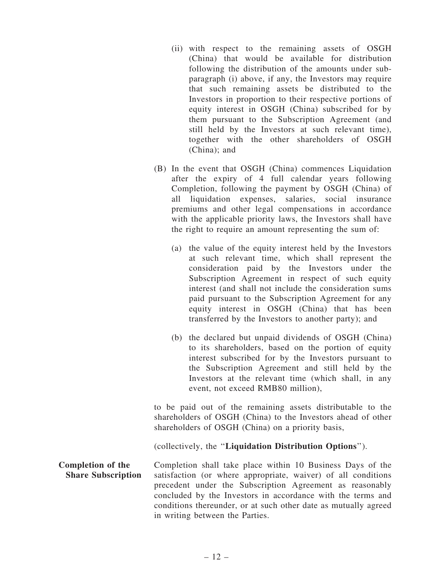- (ii) with respect to the remaining assets of OSGH (China) that would be available for distribution following the distribution of the amounts under subparagraph (i) above, if any, the Investors may require that such remaining assets be distributed to the Investors in proportion to their respective portions of equity interest in OSGH (China) subscribed for by them pursuant to the Subscription Agreement (and still held by the Investors at such relevant time), together with the other shareholders of OSGH (China); and
- (B) In the event that OSGH (China) commences Liquidation after the expiry of 4 full calendar years following Completion, following the payment by OSGH (China) of all liquidation expenses, salaries, social insurance premiums and other legal compensations in accordance with the applicable priority laws, the Investors shall have the right to require an amount representing the sum of:
	- (a) the value of the equity interest held by the Investors at such relevant time, which shall represent the consideration paid by the Investors under the Subscription Agreement in respect of such equity interest (and shall not include the consideration sums paid pursuant to the Subscription Agreement for any equity interest in OSGH (China) that has been transferred by the Investors to another party); and
	- (b) the declared but unpaid dividends of OSGH (China) to its shareholders, based on the portion of equity interest subscribed for by the Investors pursuant to the Subscription Agreement and still held by the Investors at the relevant time (which shall, in any event, not exceed RMB80 million),

to be paid out of the remaining assets distributable to the shareholders of OSGH (China) to the Investors ahead of other shareholders of OSGH (China) on a priority basis,

(collectively, the ''Liquidation Distribution Options'').

Completion of the Share Subscription Completion shall take place within 10 Business Days of the satisfaction (or where appropriate, waiver) of all conditions precedent under the Subscription Agreement as reasonably concluded by the Investors in accordance with the terms and conditions thereunder, or at such other date as mutually agreed in writing between the Parties.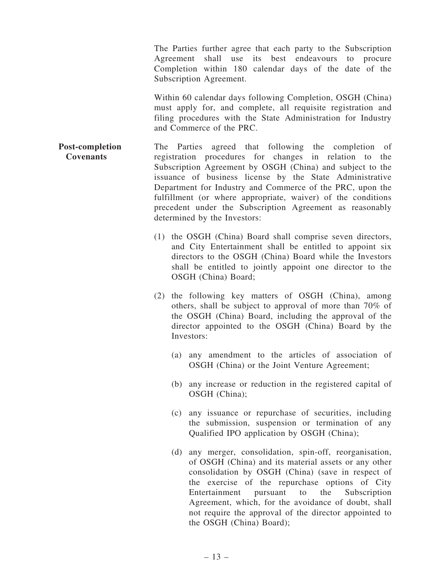The Parties further agree that each party to the Subscription Agreement shall use its best endeavours to procure Completion within 180 calendar days of the date of the Subscription Agreement.

Within 60 calendar days following Completion, OSGH (China) must apply for, and complete, all requisite registration and filing procedures with the State Administration for Industry and Commerce of the PRC.

- Post-completion **Covenants** The Parties agreed that following the completion of registration procedures for changes in relation to the Subscription Agreement by OSGH (China) and subject to the issuance of business license by the State Administrative Department for Industry and Commerce of the PRC, upon the fulfillment (or where appropriate, waiver) of the conditions precedent under the Subscription Agreement as reasonably determined by the Investors:
	- (1) the OSGH (China) Board shall comprise seven directors, and City Entertainment shall be entitled to appoint six directors to the OSGH (China) Board while the Investors shall be entitled to jointly appoint one director to the OSGH (China) Board;
	- (2) the following key matters of OSGH (China), among others, shall be subject to approval of more than 70% of the OSGH (China) Board, including the approval of the director appointed to the OSGH (China) Board by the Investors:
		- (a) any amendment to the articles of association of OSGH (China) or the Joint Venture Agreement;
		- (b) any increase or reduction in the registered capital of OSGH (China);
		- (c) any issuance or repurchase of securities, including the submission, suspension or termination of any Qualified IPO application by OSGH (China);
		- (d) any merger, consolidation, spin-off, reorganisation, of OSGH (China) and its material assets or any other consolidation by OSGH (China) (save in respect of the exercise of the repurchase options of City Entertainment pursuant to the Subscription Agreement, which, for the avoidance of doubt, shall not require the approval of the director appointed to the OSGH (China) Board);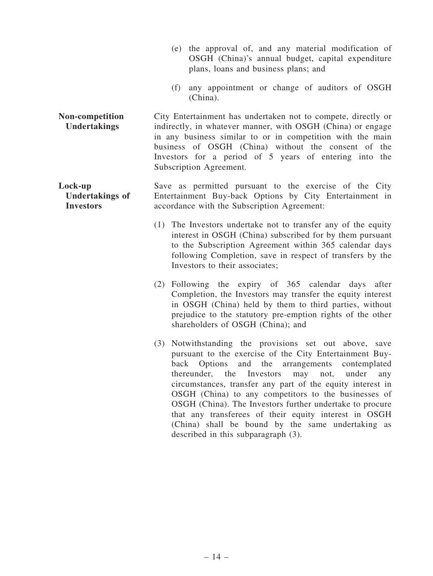- (e) the approval of, and any material modification of OSGH (China)'s annual budget, capital expenditure plans, loans and business plans; and
- (f) any appointment or change of auditors of OSGH (China).
- Non-competition Undertakings City Entertainment has undertaken not to compete, directly or indirectly, in whatever manner, with OSGH (China) or engage in any business similar to or in competition with the main business of OSGH (China) without the consent of the Investors for a period of 5 years of entering into the Subscription Agreement.

#### Lock-up Undertakings of **Investors** Save as permitted pursuant to the exercise of the City Entertainment Buy-back Options by City Entertainment in accordance with the Subscription Agreement:

- (1) The Investors undertake not to transfer any of the equity interest in OSGH (China) subscribed for by them pursuant to the Subscription Agreement within 365 calendar days following Completion, save in respect of transfers by the Investors to their associates;
- (2) Following the expiry of 365 calendar days after Completion, the Investors may transfer the equity interest in OSGH (China) held by them to third parties, without prejudice to the statutory pre-emption rights of the other shareholders of OSGH (China); and
- (3) Notwithstanding the provisions set out above, save pursuant to the exercise of the City Entertainment Buyback Options and the arrangements contemplated thereunder, the Investors may not, under any circumstances, transfer any part of the equity interest in OSGH (China) to any competitors to the businesses of OSGH (China). The Investors further undertake to procure that any transferees of their equity interest in OSGH (China) shall be bound by the same undertaking as described in this subparagraph (3).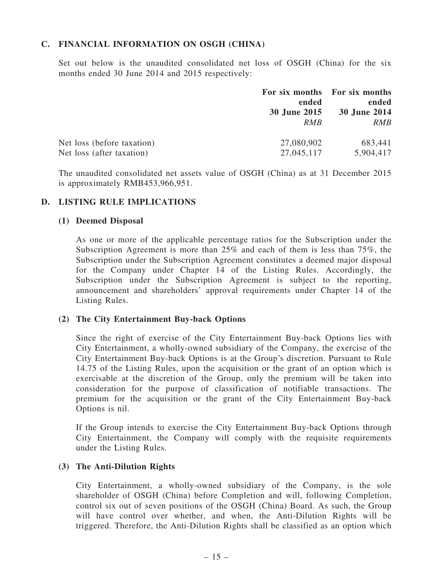## C. FINANCIAL INFORMATION ON OSGH (CHINA)

Set out below is the unaudited consolidated net loss of OSGH (China) for the six months ended 30 June 2014 and 2015 respectively:

|                            | For six months For six months<br>ended<br>30 June 2015<br><b>RMB</b> | ended<br>30 June 2014<br><b>RMB</b> |  |
|----------------------------|----------------------------------------------------------------------|-------------------------------------|--|
| Net loss (before taxation) | 27,080,902                                                           | 683,441                             |  |
| Net loss (after taxation)  | 27,045,117                                                           | 5,904,417                           |  |

The unaudited consolidated net assets value of OSGH (China) as at 31 December 2015 is approximately RMB453,966,951.

## D. LISTING RULE IMPLICATIONS

#### (1) Deemed Disposal

As one or more of the applicable percentage ratios for the Subscription under the Subscription Agreement is more than 25% and each of them is less than 75%, the Subscription under the Subscription Agreement constitutes a deemed major disposal for the Company under Chapter 14 of the Listing Rules. Accordingly, the Subscription under the Subscription Agreement is subject to the reporting, announcement and shareholders' approval requirements under Chapter 14 of the Listing Rules.

#### (2) The City Entertainment Buy-back Options

Since the right of exercise of the City Entertainment Buy-back Options lies with City Entertainment, a wholly-owned subsidiary of the Company, the exercise of the City Entertainment Buy-back Options is at the Group's discretion. Pursuant to Rule 14.75 of the Listing Rules, upon the acquisition or the grant of an option which is exercisable at the discretion of the Group, only the premium will be taken into consideration for the purpose of classification of notifiable transactions. The premium for the acquisition or the grant of the City Entertainment Buy-back Options is nil.

If the Group intends to exercise the City Entertainment Buy-back Options through City Entertainment, the Company will comply with the requisite requirements under the Listing Rules.

#### (3) The Anti-Dilution Rights

City Entertainment, a wholly-owned subsidiary of the Company, is the sole shareholder of OSGH (China) before Completion and will, following Completion, control six out of seven positions of the OSGH (China) Board. As such, the Group will have control over whether, and when, the Anti-Dilution Rights will be triggered. Therefore, the Anti-Dilution Rights shall be classified as an option which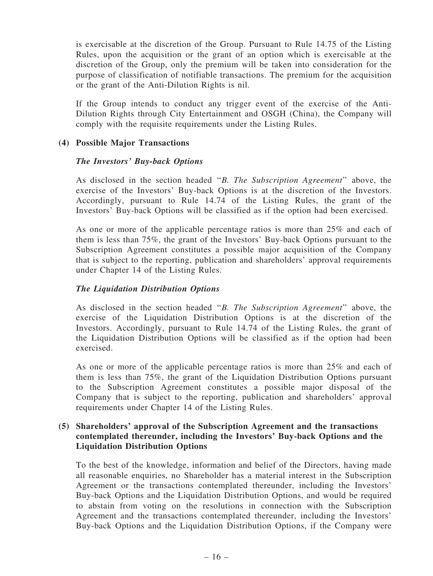is exercisable at the discretion of the Group. Pursuant to Rule 14.75 of the Listing Rules, upon the acquisition or the grant of an option which is exercisable at the discretion of the Group, only the premium will be taken into consideration for the purpose of classification of notifiable transactions. The premium for the acquisition or the grant of the Anti-Dilution Rights is nil.

If the Group intends to conduct any trigger event of the exercise of the Anti-Dilution Rights through City Entertainment and OSGH (China), the Company will comply with the requisite requirements under the Listing Rules.

#### (4) Possible Major Transactions

#### The Investors' Buy-back Options

As disclosed in the section headed ''*B. The Subscription Agreement*'' above, the exercise of the Investors' Buy-back Options is at the discretion of the Investors. Accordingly, pursuant to Rule 14.74 of the Listing Rules, the grant of the Investors' Buy-back Options will be classified as if the option had been exercised.

As one or more of the applicable percentage ratios is more than 25% and each of them is less than 75%, the grant of the Investors' Buy-back Options pursuant to the Subscription Agreement constitutes a possible major acquisition of the Company that is subject to the reporting, publication and shareholders' approval requirements under Chapter 14 of the Listing Rules.

#### The Liquidation Distribution Options

As disclosed in the section headed ''*B. The Subscription Agreement*'' above, the exercise of the Liquidation Distribution Options is at the discretion of the Investors. Accordingly, pursuant to Rule 14.74 of the Listing Rules, the grant of the Liquidation Distribution Options will be classified as if the option had been exercised.

As one or more of the applicable percentage ratios is more than 25% and each of them is less than 75%, the grant of the Liquidation Distribution Options pursuant to the Subscription Agreement constitutes a possible major disposal of the Company that is subject to the reporting, publication and shareholders' approval requirements under Chapter 14 of the Listing Rules.

## (5) Shareholders' approval of the Subscription Agreement and the transactions contemplated thereunder, including the Investors' Buy-back Options and the Liquidation Distribution Options

To the best of the knowledge, information and belief of the Directors, having made all reasonable enquiries, no Shareholder has a material interest in the Subscription Agreement or the transactions contemplated thereunder, including the Investors' Buy-back Options and the Liquidation Distribution Options, and would be required to abstain from voting on the resolutions in connection with the Subscription Agreement and the transactions contemplated thereunder, including the Investors' Buy-back Options and the Liquidation Distribution Options, if the Company were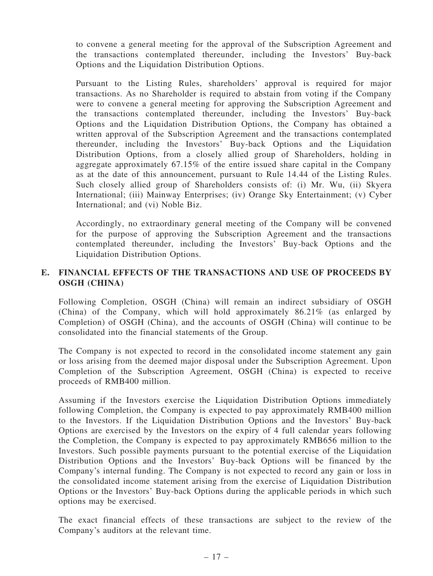to convene a general meeting for the approval of the Subscription Agreement and the transactions contemplated thereunder, including the Investors' Buy-back Options and the Liquidation Distribution Options.

Pursuant to the Listing Rules, shareholders' approval is required for major transactions. As no Shareholder is required to abstain from voting if the Company were to convene a general meeting for approving the Subscription Agreement and the transactions contemplated thereunder, including the Investors' Buy-back Options and the Liquidation Distribution Options, the Company has obtained a written approval of the Subscription Agreement and the transactions contemplated thereunder, including the Investors' Buy-back Options and the Liquidation Distribution Options, from a closely allied group of Shareholders, holding in aggregate approximately 67.15% of the entire issued share capital in the Company as at the date of this announcement, pursuant to Rule 14.44 of the Listing Rules. Such closely allied group of Shareholders consists of: (i) Mr. Wu, (ii) Skyera International; (iii) Mainway Enterprises; (iv) Orange Sky Entertainment; (v) Cyber International; and (vi) Noble Biz.

Accordingly, no extraordinary general meeting of the Company will be convened for the purpose of approving the Subscription Agreement and the transactions contemplated thereunder, including the Investors' Buy-back Options and the Liquidation Distribution Options.

## E. FINANCIAL EFFECTS OF THE TRANSACTIONS AND USE OF PROCEEDS BY OSGH (CHINA)

Following Completion, OSGH (China) will remain an indirect subsidiary of OSGH (China) of the Company, which will hold approximately 86.21% (as enlarged by Completion) of OSGH (China), and the accounts of OSGH (China) will continue to be consolidated into the financial statements of the Group.

The Company is not expected to record in the consolidated income statement any gain or loss arising from the deemed major disposal under the Subscription Agreement. Upon Completion of the Subscription Agreement, OSGH (China) is expected to receive proceeds of RMB400 million.

Assuming if the Investors exercise the Liquidation Distribution Options immediately following Completion, the Company is expected to pay approximately RMB400 million to the Investors. If the Liquidation Distribution Options and the Investors' Buy-back Options are exercised by the Investors on the expiry of 4 full calendar years following the Completion, the Company is expected to pay approximately RMB656 million to the Investors. Such possible payments pursuant to the potential exercise of the Liquidation Distribution Options and the Investors' Buy-back Options will be financed by the Company's internal funding. The Company is not expected to record any gain or loss in the consolidated income statement arising from the exercise of Liquidation Distribution Options or the Investors' Buy-back Options during the applicable periods in which such options may be exercised.

The exact financial effects of these transactions are subject to the review of the Company's auditors at the relevant time.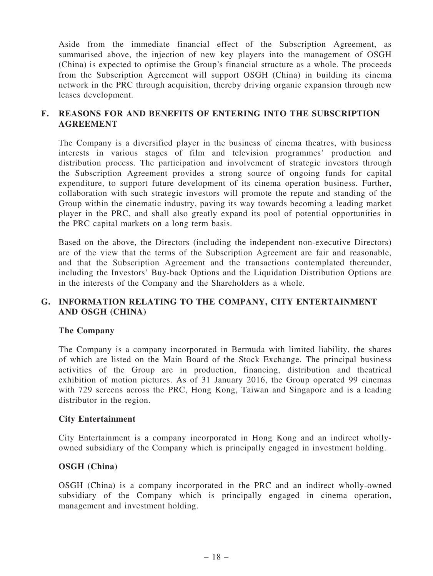Aside from the immediate financial effect of the Subscription Agreement, as summarised above, the injection of new key players into the management of OSGH (China) is expected to optimise the Group's financial structure as a whole. The proceeds from the Subscription Agreement will support OSGH (China) in building its cinema network in the PRC through acquisition, thereby driving organic expansion through new leases development.

## F. REASONS FOR AND BENEFITS OF ENTERING INTO THE SUBSCRIPTION AGREEMENT

The Company is a diversified player in the business of cinema theatres, with business interests in various stages of film and television programmes' production and distribution process. The participation and involvement of strategic investors through the Subscription Agreement provides a strong source of ongoing funds for capital expenditure, to support future development of its cinema operation business. Further, collaboration with such strategic investors will promote the repute and standing of the Group within the cinematic industry, paving its way towards becoming a leading market player in the PRC, and shall also greatly expand its pool of potential opportunities in the PRC capital markets on a long term basis.

Based on the above, the Directors (including the independent non-executive Directors) are of the view that the terms of the Subscription Agreement are fair and reasonable, and that the Subscription Agreement and the transactions contemplated thereunder, including the Investors' Buy-back Options and the Liquidation Distribution Options are in the interests of the Company and the Shareholders as a whole.

## G. INFORMATION RELATING TO THE COMPANY, CITY ENTERTAINMENT AND OSGH (CHINA)

#### The Company

The Company is a company incorporated in Bermuda with limited liability, the shares of which are listed on the Main Board of the Stock Exchange. The principal business activities of the Group are in production, financing, distribution and theatrical exhibition of motion pictures. As of 31 January 2016, the Group operated 99 cinemas with 729 screens across the PRC, Hong Kong, Taiwan and Singapore and is a leading distributor in the region.

#### City Entertainment

City Entertainment is a company incorporated in Hong Kong and an indirect whollyowned subsidiary of the Company which is principally engaged in investment holding.

## OSGH (China)

OSGH (China) is a company incorporated in the PRC and an indirect wholly-owned subsidiary of the Company which is principally engaged in cinema operation, management and investment holding.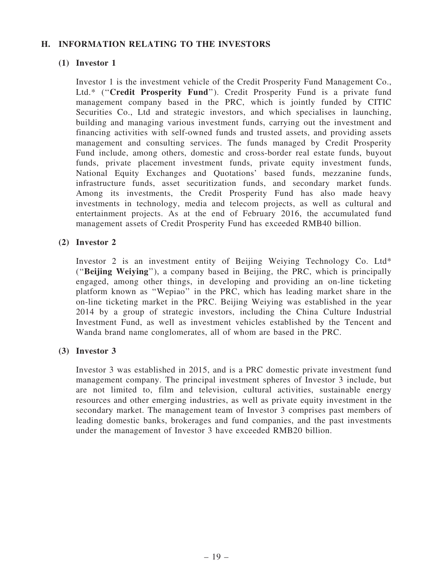## H. INFORMATION RELATING TO THE INVESTORS

## (1) Investor 1

Investor 1 is the investment vehicle of the Credit Prosperity Fund Management Co., Ltd.\* ("Credit Prosperity Fund"). Credit Prosperity Fund is a private fund management company based in the PRC, which is jointly funded by CITIC Securities Co., Ltd and strategic investors, and which specialises in launching, building and managing various investment funds, carrying out the investment and financing activities with self-owned funds and trusted assets, and providing assets management and consulting services. The funds managed by Credit Prosperity Fund include, among others, domestic and cross-border real estate funds, buyout funds, private placement investment funds, private equity investment funds, National Equity Exchanges and Quotations' based funds, mezzanine funds, infrastructure funds, asset securitization funds, and secondary market funds. Among its investments, the Credit Prosperity Fund has also made heavy investments in technology, media and telecom projects, as well as cultural and entertainment projects. As at the end of February 2016, the accumulated fund management assets of Credit Prosperity Fund has exceeded RMB40 billion.

## (2) Investor 2

Investor 2 is an investment entity of Beijing Weiying Technology Co. Ltd\* (''Beijing Weiying''), a company based in Beijing, the PRC, which is principally engaged, among other things, in developing and providing an on-line ticketing platform known as ''Wepiao'' in the PRC, which has leading market share in the on-line ticketing market in the PRC. Beijing Weiying was established in the year 2014 by a group of strategic investors, including the China Culture Industrial Investment Fund, as well as investment vehicles established by the Tencent and Wanda brand name conglomerates, all of whom are based in the PRC.

#### (3) Investor 3

Investor 3 was established in 2015, and is a PRC domestic private investment fund management company. The principal investment spheres of Investor 3 include, but are not limited to, film and television, cultural activities, sustainable energy resources and other emerging industries, as well as private equity investment in the secondary market. The management team of Investor 3 comprises past members of leading domestic banks, brokerages and fund companies, and the past investments under the management of Investor 3 have exceeded RMB20 billion.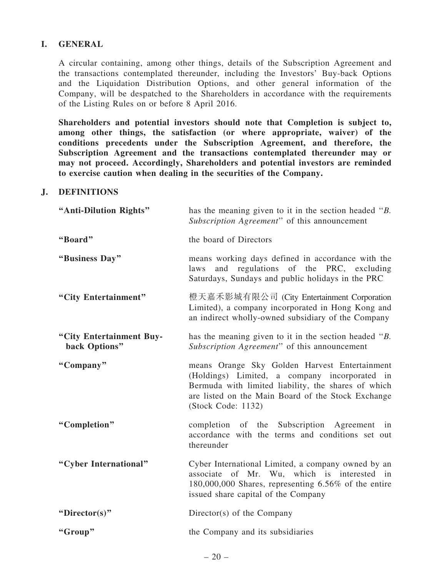## I. GENERAL

A circular containing, among other things, details of the Subscription Agreement and the transactions contemplated thereunder, including the Investors' Buy-back Options and the Liquidation Distribution Options, and other general information of the Company, will be despatched to the Shareholders in accordance with the requirements of the Listing Rules on or before 8 April 2016.

Shareholders and potential investors should note that Completion is subject to, among other things, the satisfaction (or where appropriate, waiver) of the conditions precedents under the Subscription Agreement, and therefore, the Subscription Agreement and the transactions contemplated thereunder may or may not proceed. Accordingly, Shareholders and potential investors are reminded to exercise caution when dealing in the securities of the Company.

#### J. DEFINITIONS

| "Anti-Dilution Rights"                    | has the meaning given to it in the section headed "B.<br>Subscription Agreement" of this announcement                                                                                                                             |
|-------------------------------------------|-----------------------------------------------------------------------------------------------------------------------------------------------------------------------------------------------------------------------------------|
| "Board"                                   | the board of Directors                                                                                                                                                                                                            |
| "Business Day"                            | means working days defined in accordance with the<br>regulations of the PRC, excluding<br>laws<br>and<br>Saturdays, Sundays and public holidays in the PRC                                                                        |
| "City Entertainment"                      | 橙天嘉禾影城有限公司 (City Entertainment Corporation<br>Limited), a company incorporated in Hong Kong and<br>an indirect wholly-owned subsidiary of the Company                                                                             |
| "City Entertainment Buy-<br>back Options" | has the meaning given to it in the section headed "B.<br>Subscription Agreement" of this announcement                                                                                                                             |
| "Company"                                 | means Orange Sky Golden Harvest Entertainment<br>(Holdings) Limited, a company incorporated in<br>Bermuda with limited liability, the shares of which<br>are listed on the Main Board of the Stock Exchange<br>(Stock Code: 1132) |
| "Completion"                              | completion of the Subscription Agreement<br>in<br>accordance with the terms and conditions set out<br>thereunder                                                                                                                  |
| "Cyber International"                     | Cyber International Limited, a company owned by an<br>associate of Mr. Wu, which is interested in<br>$180,000,000$ Shares, representing 6.56% of the entire<br>issued share capital of the Company                                |
| "Director(s)"                             | Director(s) of the Company                                                                                                                                                                                                        |
| "Group"                                   | the Company and its subsidiaries                                                                                                                                                                                                  |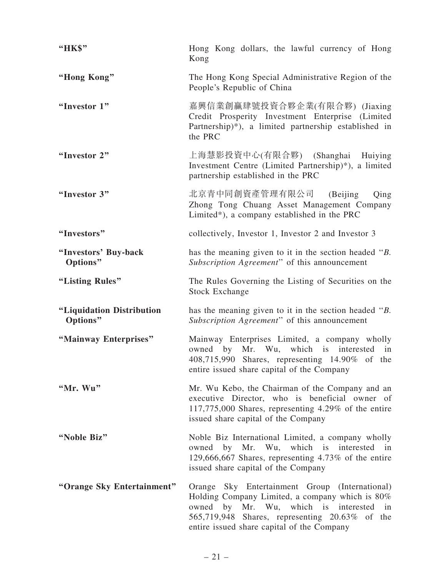| "HK\$"                                | Hong Kong dollars, the lawful currency of Hong<br>Kong                                                                                                                                                                                       |
|---------------------------------------|----------------------------------------------------------------------------------------------------------------------------------------------------------------------------------------------------------------------------------------------|
| "Hong Kong"                           | The Hong Kong Special Administrative Region of the<br>People's Republic of China                                                                                                                                                             |
| "Investor 1"                          | 嘉興信業創贏肆號投資合夥企業(有限合夥) (Jiaxing<br>Credit Prosperity Investment Enterprise (Limited<br>Partnership)*), a limited partnership established in<br>the PRC                                                                                         |
| "Investor 2"                          | 上海慧影投資中心(有限合夥) (Shanghai Huiying<br>Investment Centre (Limited Partnership)*), a limited<br>partnership established in the PRC                                                                                                               |
| "Investor 3"                          | 北京青中同創資產管理有限公司<br>(Beijing)<br>Qing<br>Zhong Tong Chuang Asset Management Company<br>Limited*), a company established in the PRC                                                                                                             |
| "Investors"                           | collectively, Investor 1, Investor 2 and Investor 3                                                                                                                                                                                          |
| "Investors' Buy-back<br>Options"      | has the meaning given to it in the section headed "B.<br>Subscription Agreement" of this announcement                                                                                                                                        |
| "Listing Rules"                       | The Rules Governing the Listing of Securities on the<br><b>Stock Exchange</b>                                                                                                                                                                |
| "Liquidation Distribution<br>Options" | has the meaning given to it in the section headed "B.<br>Subscription Agreement" of this announcement                                                                                                                                        |
| "Mainway Enterprises"                 | Mainway Enterprises Limited, a company wholly<br>owned by Mr. Wu, which is interested in<br>408,715,990 Shares, representing 14.90% of the<br>entire issued share capital of the Company                                                     |
| "Mr. Wu"                              | Mr. Wu Kebo, the Chairman of the Company and an<br>executive Director, who is beneficial owner of<br>$117,775,000$ Shares, representing 4.29% of the entire<br>issued share capital of the Company                                           |
| "Noble Biz"                           | Noble Biz International Limited, a company wholly<br>by Mr. Wu, which is interested in<br>owned<br>129,666,667 Shares, representing $4.73\%$ of the entire<br>issued share capital of the Company                                            |
| "Orange Sky Entertainment"            | Orange Sky Entertainment Group (International)<br>Holding Company Limited, a company which is 80%<br>owned by Mr. Wu, which is interested in<br>565,719,948 Shares, representing 20.63% of the<br>entire issued share capital of the Company |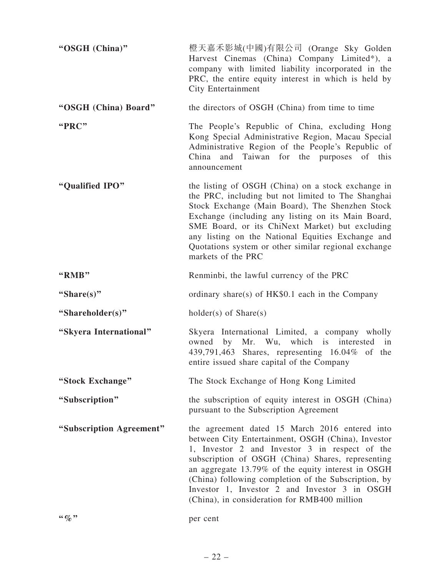| "OSGH (China)"                   | 橙天嘉禾影城(中國)有限公司 (Orange Sky Golden<br>Harvest Cinemas (China) Company Limited*), a<br>company with limited liability incorporated in the<br>PRC, the entire equity interest in which is held by<br><b>City Entertainment</b>                                                                                                                                                                                                |
|----------------------------------|----------------------------------------------------------------------------------------------------------------------------------------------------------------------------------------------------------------------------------------------------------------------------------------------------------------------------------------------------------------------------------------------------------------------------|
| "OSGH (China) Board"             | the directors of OSGH (China) from time to time                                                                                                                                                                                                                                                                                                                                                                            |
| "PRC"                            | The People's Republic of China, excluding Hong<br>Kong Special Administrative Region, Macau Special<br>Administrative Region of the People's Republic of<br>China and Taiwan for the purposes of this<br>announcement                                                                                                                                                                                                      |
| "Qualified IPO"                  | the listing of OSGH (China) on a stock exchange in<br>the PRC, including but not limited to The Shanghai<br>Stock Exchange (Main Board), The Shenzhen Stock<br>Exchange (including any listing on its Main Board,<br>SME Board, or its ChiNext Market) but excluding<br>any listing on the National Equities Exchange and<br>Quotations system or other similar regional exchange<br>markets of the PRC                    |
| "RMB"                            | Renminbi, the lawful currency of the PRC                                                                                                                                                                                                                                                                                                                                                                                   |
| "Share(s)"                       | ordinary share(s) of HK\$0.1 each in the Company                                                                                                                                                                                                                                                                                                                                                                           |
| "Shareholder(s)"                 | $holder(s)$ of $Share(s)$                                                                                                                                                                                                                                                                                                                                                                                                  |
| "Skyera International"           | Skyera International Limited, a company wholly<br>by Mr. Wu, which is interested<br>owned<br>in<br>439,791,463 Shares, representing 16.04% of the<br>entire issued share capital of the Company                                                                                                                                                                                                                            |
| "Stock Exchange"                 | The Stock Exchange of Hong Kong Limited                                                                                                                                                                                                                                                                                                                                                                                    |
| "Subscription"                   | the subscription of equity interest in OSGH (China)<br>pursuant to the Subscription Agreement                                                                                                                                                                                                                                                                                                                              |
| "Subscription Agreement"         | the agreement dated 15 March 2016 entered into<br>between City Entertainment, OSGH (China), Investor<br>1, Investor 2 and Investor 3 in respect of the<br>subscription of OSGH (China) Shares, representing<br>an aggregate 13.79% of the equity interest in OSGH<br>(China) following completion of the Subscription, by<br>Investor 1, Investor 2 and Investor 3 in OSGH<br>(China), in consideration for RMB400 million |
| $\lq\lq\lq\lq\lq\lq\lq\lq\lq\lq$ | per cent                                                                                                                                                                                                                                                                                                                                                                                                                   |